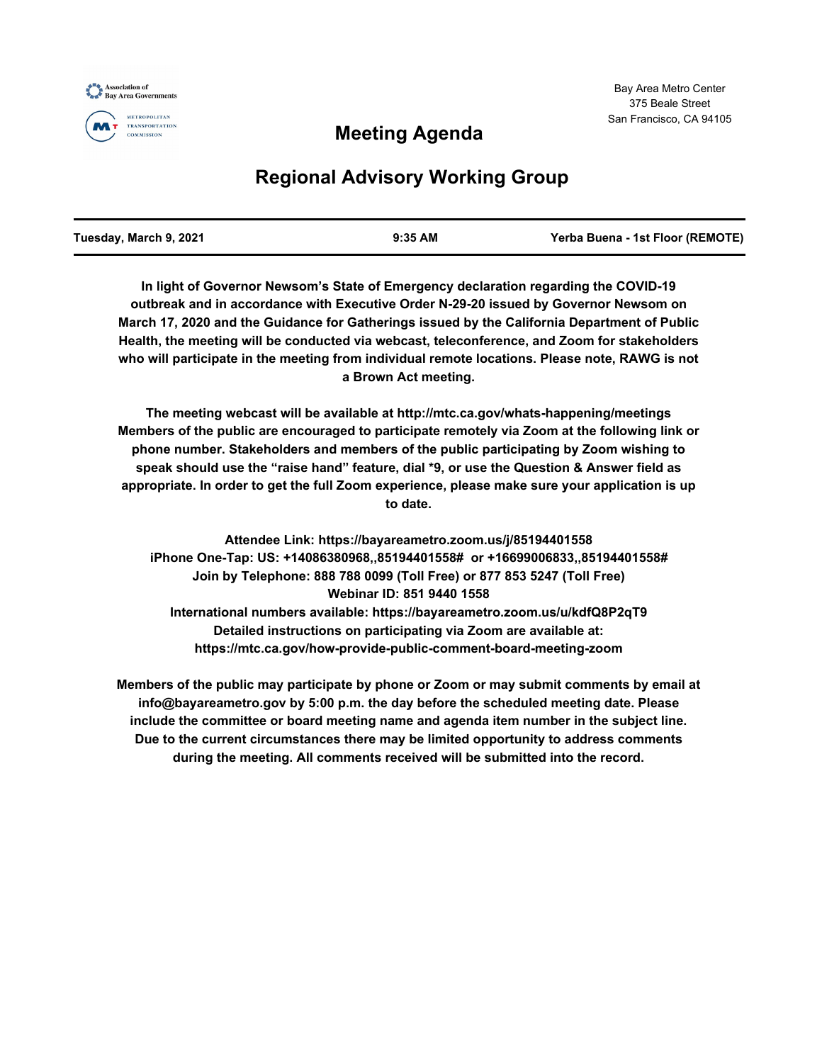

## **Meeting Agenda**

# **Regional Advisory Working Group**

| Tuesday, March 9, 2021 | $9:35$ AM | Yerba Buena - 1st Floor (REMOTE) |
|------------------------|-----------|----------------------------------|
|                        |           |                                  |

**In light of Governor Newsom's State of Emergency declaration regarding the COVID-19 outbreak and in accordance with Executive Order N-29-20 issued by Governor Newsom on March 17, 2020 and the Guidance for Gatherings issued by the California Department of Public Health, the meeting will be conducted via webcast, teleconference, and Zoom for stakeholders who will participate in the meeting from individual remote locations. Please note, RAWG is not a Brown Act meeting.**

**The meeting webcast will be available at http://mtc.ca.gov/whats-happening/meetings Members of the public are encouraged to participate remotely via Zoom at the following link or phone number. Stakeholders and members of the public participating by Zoom wishing to speak should use the "raise hand" feature, dial \*9, or use the Question & Answer field as appropriate. In order to get the full Zoom experience, please make sure your application is up to date.**

**Attendee Link: https://bayareametro.zoom.us/j/85194401558 iPhone One-Tap: US: +14086380968,,85194401558# or +16699006833,,85194401558# Join by Telephone: 888 788 0099 (Toll Free) or 877 853 5247 (Toll Free) Webinar ID: 851 9440 1558 International numbers available: https://bayareametro.zoom.us/u/kdfQ8P2qT9 Detailed instructions on participating via Zoom are available at: https://mtc.ca.gov/how-provide-public-comment-board-meeting-zoom**

**Members of the public may participate by phone or Zoom or may submit comments by email at info@bayareametro.gov by 5:00 p.m. the day before the scheduled meeting date. Please include the committee or board meeting name and agenda item number in the subject line. Due to the current circumstances there may be limited opportunity to address comments during the meeting. All comments received will be submitted into the record.**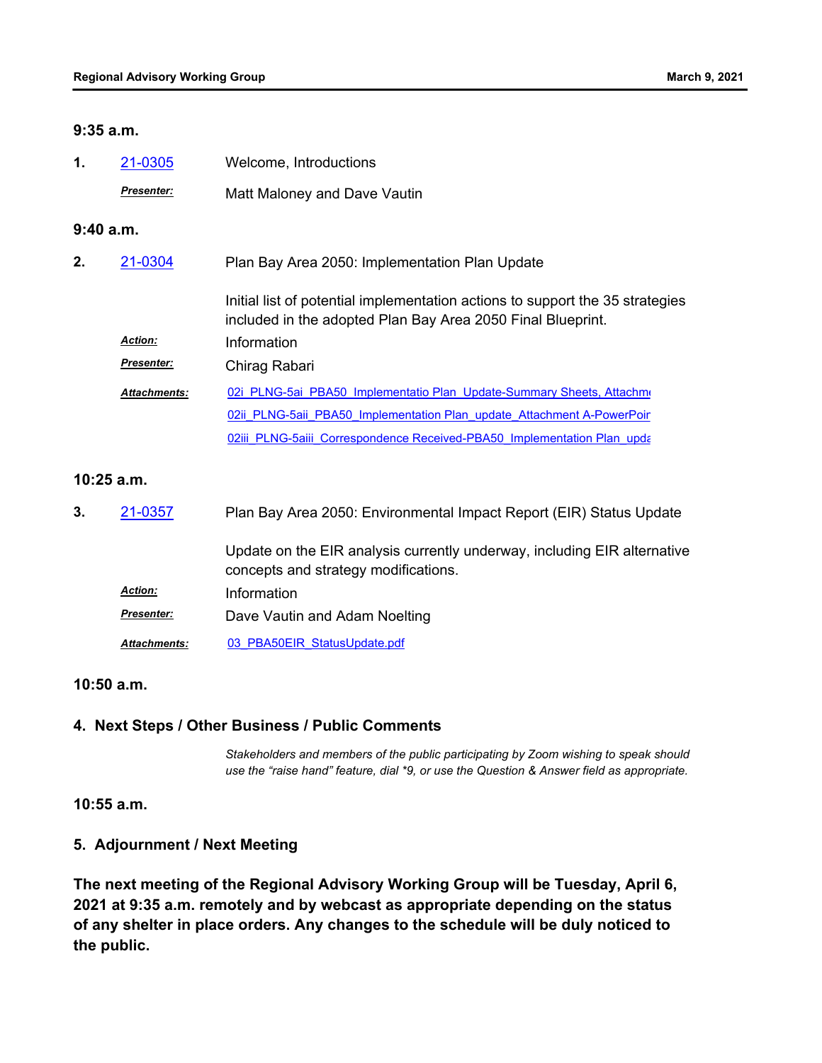#### **9:35 a.m.**

| 1.           | 21-0305             | Welcome, Introductions                                                                                                                       |  |  |
|--------------|---------------------|----------------------------------------------------------------------------------------------------------------------------------------------|--|--|
|              | <b>Presenter:</b>   | Matt Maloney and Dave Vautin                                                                                                                 |  |  |
| 9:40a.m.     |                     |                                                                                                                                              |  |  |
| 2.           | 21-0304             | Plan Bay Area 2050: Implementation Plan Update                                                                                               |  |  |
|              |                     | Initial list of potential implementation actions to support the 35 strategies<br>included in the adopted Plan Bay Area 2050 Final Blueprint. |  |  |
|              | <b>Action:</b>      | Information                                                                                                                                  |  |  |
|              | <b>Presenter:</b>   | Chirag Rabari                                                                                                                                |  |  |
|              | <b>Attachments:</b> | 02i PLNG-5ai PBA50 Implementatio Plan Update-Summary Sheets, Attachme                                                                        |  |  |
|              |                     | 02ii PLNG-5aii PBA50 Implementation Plan update Attachment A-PowerPoir                                                                       |  |  |
|              |                     | 02iii PLNG-5aiii Correspondence Received-PBA50 Implementation Plan upda                                                                      |  |  |
| $10:25$ a.m. |                     |                                                                                                                                              |  |  |
| 3.           | 21-0357             | Plan Bay Area 2050: Environmental Impact Report (EIR) Status Update                                                                          |  |  |
|              |                     | Update on the EIR analysis currently underway, including EIR alternative<br>concepts and strategy modifications.                             |  |  |
|              | Action:             | Information                                                                                                                                  |  |  |
|              | Presenter:          | Dave Vautin and Adam Noelting                                                                                                                |  |  |
|              | <b>Attachments:</b> | 03 PBA50EIR StatusUpdate.pdf                                                                                                                 |  |  |

#### **10:50 a.m.**

### **4. Next Steps / Other Business / Public Comments**

*Stakeholders and members of the public participating by Zoom wishing to speak should use the "raise hand" feature, dial \*9, or use the Question & Answer field as appropriate.*

**10:55 a.m.**

## **5. Adjournment / Next Meeting**

**The next meeting of the Regional Advisory Working Group will be Tuesday, April 6, 2021 at 9:35 a.m. remotely and by webcast as appropriate depending on the status of any shelter in place orders. Any changes to the schedule will be duly noticed to the public.**